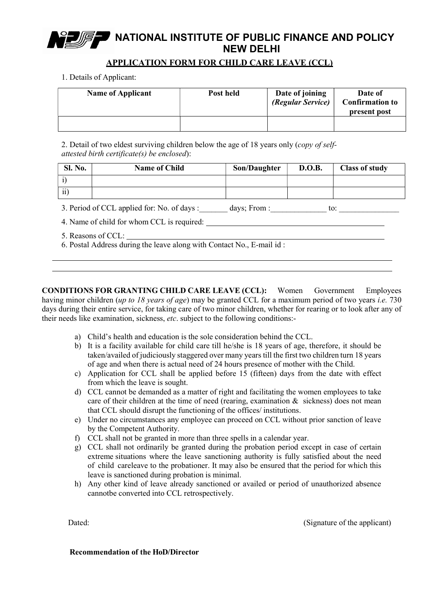# NATIONAL INSTITUTE OF PUBLIC FINANCE AND POLICY NEW DELHI

## APPLICATION FORM FOR CHILD CARE LEAVE (CCL)

1. Details of Applicant:

| <b>Name of Applicant</b> | Post held | Date of joining<br>(Regular Service) | Date of<br><b>Confirmation to</b><br>present post |
|--------------------------|-----------|--------------------------------------|---------------------------------------------------|
|                          |           |                                      |                                                   |

2. Detail of two eldest surviving children below the age of 18 years only (copy of selfattested birth certificate(s) be enclosed):

| <b>Sl. No.</b> | <b>Name of Child</b>                             | Son/Daughter   | <b>D.O.B.</b> | <b>Class of study</b> |
|----------------|--------------------------------------------------|----------------|---------------|-----------------------|
|                |                                                  |                |               |                       |
| ii             |                                                  |                |               |                       |
|                | $\Omega$ Devia defect equals defined as $\Omega$ | dassar Daama r |               | $\sim$ $\sim$         |

3. Period of CCL applied for: No. of days : \_\_\_\_\_\_ days; From : \_\_\_\_\_\_\_\_\_\_\_\_\_\_\_ to: \_\_\_\_\_\_\_\_

- 4. Name of child for whom CCL is required:
- 5. Reasons of CCL:
- 6. Postal Address during the leave along with Contact No., E-mail id :

CONDITIONS FOR GRANTING CHILD CARE LEAVE (CCL): Women Government Employees having minor children (up to 18 years of age) may be granted CCL for a maximum period of two years *i.e.* 730 days during their entire service, for taking care of two minor children, whether for rearing or to look after any of their needs like examination, sickness, *etc*. subject to the following conditions:-

- a) Child's health and education is the sole consideration behind the CCL.
- b) It is a facility available for child care till he/she is 18 years of age, therefore, it should be taken/availed of judiciously staggered over many years till the first two children turn 18 years of age and when there is actual need of 24 hours presence of mother with the Child.
- c) Application for CCL shall be applied before 15 (fifteen) days from the date with effect from which the leave is sought.
- d) CCL cannot be demanded as a matter of right and facilitating the women employees to take care of their children at the time of need (rearing, examination & sickness) does not mean that CCL should disrupt the functioning of the offices/ institutions.
- e) Under no circumstances any employee can proceed on CCL without prior sanction of leave by the Competent Authority.
- f) CCL shall not be granted in more than three spells in a calendar year.
- g) CCL shall not ordinarily be granted during the probation period except in case of certain extreme situations where the leave sanctioning authority is fully satisfied about the need of child careleave to the probationer. It may also be ensured that the period for which this leave is sanctioned during probation is minimal.
- h) Any other kind of leave already sanctioned or availed or period of unauthorized absence cannotbe converted into CCL retrospectively.

Dated: Clienter of the applicant) Dated: (Signature of the applicant)

#### Recommendation of the HoD/Director